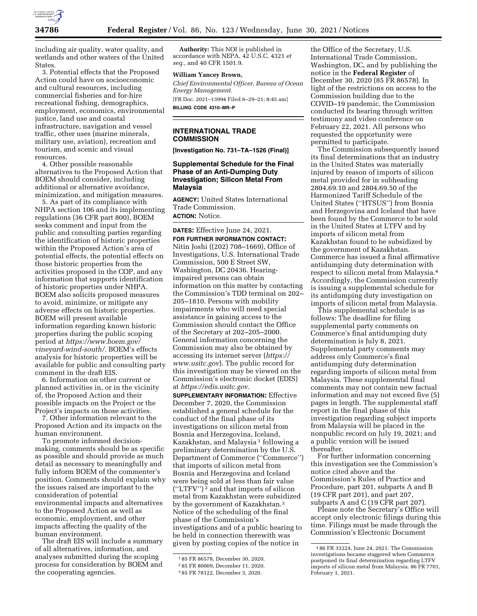

including air quality, water quality, and wetlands and other waters of the United States.

3. Potential effects that the Proposed Action could have on socioeconomic and cultural resources, including commercial fisheries and for-hire recreational fishing, demographics, employment, economics, environmental justice, land use and coastal infrastructure, navigation and vessel traffic, other uses (marine minerals, military use, aviation), recreation and tourism, and scenic and visual resources.

4. Other possible reasonable alternatives to the Proposed Action that BOEM should consider, including additional or alternative avoidance, minimization, and mitigation measures.

5. As part of its compliance with NHPA section 106 and its implementing regulations (36 CFR part 800), BOEM seeks comment and input from the public and consulting parties regarding the identification of historic properties within the Proposed Action's area of potential effects, the potential effects on those historic properties from the activities proposed in the COP, and any information that supports identification of historic properties under NHPA. BOEM also solicits proposed measures to avoid, minimize, or mitigate any adverse effects on historic properties. BOEM will present available information regarding known historic properties during the public scoping period at *https://www.boem.gov/ vineyard-wind-south/.* BOEM's effects analysis for historic properties will be available for public and consulting party comment in the draft EIS.

6. Information on other current or planned activities in, or in the vicinity of, the Proposed Action and their possible impacts on the Project or the Project's impacts on those activities.

7. Other information relevant to the Proposed Action and its impacts on the human environment.

To promote informed decisionmaking, comments should be as specific as possible and should provide as much detail as necessary to meaningfully and fully inform BOEM of the commenter's position. Comments should explain why the issues raised are important to the consideration of potential environmental impacts and alternatives to the Proposed Action as well as economic, employment, and other impacts affecting the quality of the human environment.

The draft EIS will include a summary of all alternatives, information, and analyses submitted during the scoping process for consideration by BOEM and the cooperating agencies.

**Authority:** This NOI is published in accordance with NEPA, 42 U.S.C. 4321 *et seq.,* and 40 CFR 1501.9.

### **William Yancey Brown,**

*Chief Environmental Officer, Bureau of Ocean Energy Management.*  [FR Doc. 2021–13994 Filed 6–29–21; 8:45 am]

**BILLING CODE 4310–MR–P** 

### **INTERNATIONAL TRADE COMMISSION**

**[Investigation No. 731–TA–1526 (Final)]** 

# **Supplemental Schedule for the Final Phase of an Anti-Dumping Duty Investigation; Silicon Metal From Malaysia**

**AGENCY:** United States International Trade Commission. **ACTION:** Notice.

**DATES:** Effective June 24, 2021.

**FOR FURTHER INFORMATION CONTACT:**  Nitin Joshi ((202) 708–1669), Office of Investigations, U.S. International Trade Commission, 500 E Street SW, Washington, DC 20436. Hearingimpaired persons can obtain information on this matter by contacting the Commission's TDD terminal on 202– 205–1810. Persons with mobility impairments who will need special assistance in gaining access to the Commission should contact the Office of the Secretary at 202–205–2000. General information concerning the Commission may also be obtained by accessing its internet server (*https:// www.usitc.gov*). The public record for this investigation may be viewed on the Commission's electronic docket (EDIS) at *https://edis.usitc.gov.* 

**SUPPLEMENTARY INFORMATION:** Effective December 7, 2020, the Commission established a general schedule for the conduct of the final phase of its investigations on silicon metal from Bosnia and Herzegovina, Iceland, Kazakhstan, and Malaysia<sup>1</sup> following a preliminary determination by the U.S. Department of Commerce (''Commerce'') that imports of silicon metal from Bosnia and Herzegovina and Iceland were being sold at less than fair value  $("LTFV")^2$  and that imports of silicon metal from Kazakhstan were subsidized by the government of Kazakhstan.3 Notice of the scheduling of the final phase of the Commission's investigations and of a public hearing to be held in connection therewith was given by posting copies of the notice in

the Office of the Secretary, U.S. International Trade Commission, Washington, DC, and by publishing the notice in the **Federal Register** of December 30, 2020 (85 FR 86578). In light of the restrictions on access to the Commission building due to the COVID–19 pandemic, the Commission conducted its hearing through written testimony and video conference on February 22, 2021. All persons who requested the opportunity were permitted to participate.

The Commission subsequently issued its final determinations that an industry in the United States was materially injured by reason of imports of silicon metal provided for in subheading 2804.69.10 and 2804.69.50 of the Harmonized Tariff Schedule of the United States (''HTSUS'') from Bosnia and Herzegovina and Iceland that have been found by the Commerce to be sold in the United States at LTFV and by imports of silicon metal from Kazakhstan found to be subsidized by the government of Kazakhstan. Commerce has issued a final affirmative antidumping duty determination with respect to silicon metal from Malaysia.4 Accordingly, the Commission currently is issuing a supplemental schedule for its antidumping duty investigation on imports of silicon metal from Malaysia.

This supplemental schedule is as follows: The deadline for filing supplemental party comments on Commerce's final antidumping duty determination is July 8, 2021. Supplemental party comments may address only Commerce's final antidumping duty determination regarding imports of silicon metal from Malaysia. These supplemental final comments may not contain new factual information and may not exceed five (5) pages in length. The supplemental staff report in the final phase of this investigation regarding subject imports from Malaysia will be placed in the nonpublic record on July 19, 2021; and a public version will be issued thereafter.

For further information concerning this investigation see the Commission's notice cited above and the Commission's Rules of Practice and Procedure, part 201, subparts A and B (19 CFR part 201), and part 207, subparts A and C (19 CFR part 207).

Please note the Secretary's Office will accept only electronic filings during this time. Filings must be made through the Commission's Electronic Document

<sup>1</sup> 85 FR 86578, December 30, 2020.

<sup>2</sup> 85 FR 80009, December 11, 2020.

<sup>3</sup> 85 FR 78122, December 3, 2020.

<sup>4</sup> 86 FR 33224, June 24, 2021. The Commission investigations became staggered when Commerce postponed its final determination regarding LTFV imports of silicon metal from Malaysia. 86 FR 7701, February 1, 2021.